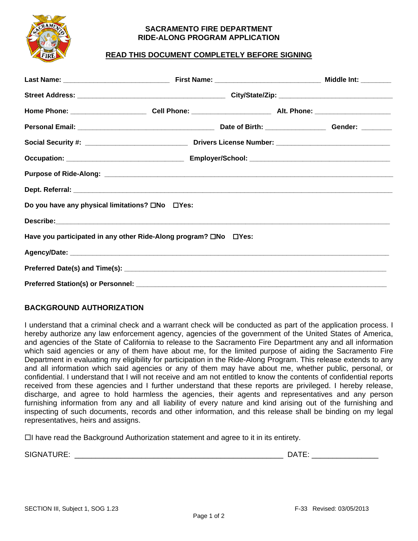

#### **SACRAMENTO FIRE DEPARTMENT RIDE-ALONG PROGRAM APPLICATION**

# **READ THIS DOCUMENT COMPLETELY BEFORE SIGNING**

| Do you have any physical limitations? ONo DYes:                  |  |  |  |  |  |  |  |
|------------------------------------------------------------------|--|--|--|--|--|--|--|
|                                                                  |  |  |  |  |  |  |  |
| Have you participated in any other Ride-Along program? □No □Yes: |  |  |  |  |  |  |  |
|                                                                  |  |  |  |  |  |  |  |
|                                                                  |  |  |  |  |  |  |  |
|                                                                  |  |  |  |  |  |  |  |

## **BACKGROUND AUTHORIZATION**

I understand that a criminal check and a warrant check will be conducted as part of the application process. I hereby authorize any law enforcement agency, agencies of the government of the United States of America, and agencies of the State of California to release to the Sacramento Fire Department any and all information which said agencies or any of them have about me, for the limited purpose of aiding the Sacramento Fire Department in evaluating my eligibility for participation in the Ride-Along Program. This release extends to any and all information which said agencies or any of them may have about me, whether public, personal, or confidential. I understand that I will not receive and am not entitled to know the contents of confidential reports received from these agencies and I further understand that these reports are privileged. I hereby release, discharge, and agree to hold harmless the agencies, their agents and representatives and any person furnishing information from any and all liability of every nature and kind arising out of the furnishing and inspecting of such documents, records and other information, and this release shall be binding on my legal representatives, heirs and assigns.

 $\Box$  have read the Background Authorization statement and agree to it in its entirety.

SIGNATURE: \_\_\_\_\_\_\_\_\_\_\_\_\_\_\_\_\_\_\_\_\_\_\_\_\_\_\_\_\_\_\_\_\_\_\_\_\_\_\_\_\_\_\_\_\_\_\_\_\_\_ DATE: \_\_\_\_\_\_\_\_\_\_\_\_\_\_\_\_